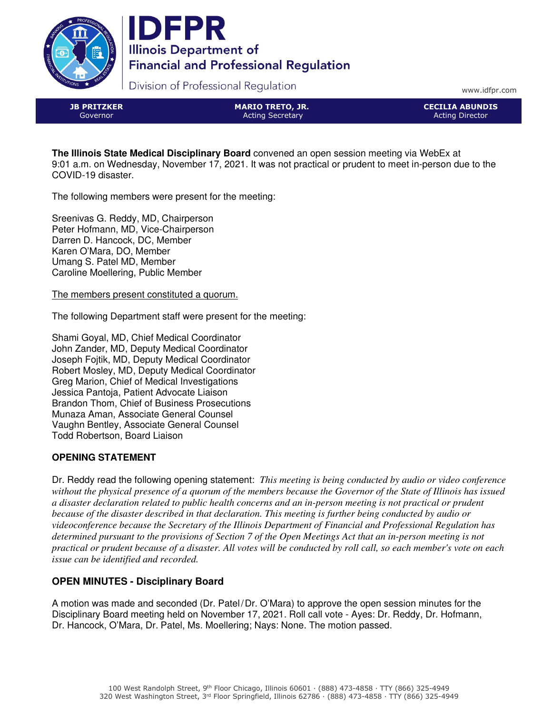



Division of Professional Regulation

www.idfpr.com

JB PRITZKER Governor

MARIO TRETO, JR. Acting Secretary

CECILIA ABUNDIS Acting Director

**The Illinois State Medical Disciplinary Board** convened an open session meeting via WebEx at 9:01 a.m. on Wednesday, November 17, 2021. It was not practical or prudent to meet in-person due to the COVID-19 disaster.

The following members were present for the meeting:

Sreenivas G. Reddy, MD, Chairperson Peter Hofmann, MD, Vice-Chairperson Darren D. Hancock, DC, Member Karen O'Mara, DO, Member Umang S. Patel MD, Member Caroline Moellering, Public Member

The members present constituted a quorum.

The following Department staff were present for the meeting:

Shami Goyal, MD, Chief Medical Coordinator John Zander, MD, Deputy Medical Coordinator Joseph Fojtik, MD, Deputy Medical Coordinator Robert Mosley, MD, Deputy Medical Coordinator Greg Marion, Chief of Medical Investigations Jessica Pantoja, Patient Advocate Liaison Brandon Thom, Chief of Business Prosecutions Munaza Aman, Associate General Counsel Vaughn Bentley, Associate General Counsel Todd Robertson, Board Liaison

# **OPENING STATEMENT**

Dr. Reddy read the following opening statement: *This meeting is being conducted by audio or video conference without the physical presence of a quorum of the members because the Governor of the State of Illinois has issued a disaster declaration related to public health concerns and an in-person meeting is not practical or prudent because of the disaster described in that declaration. This meeting is further being conducted by audio or videoconference because the Secretary of the Illinois Department of Financial and Professional Regulation has determined pursuant to the provisions of Section 7 of the Open Meetings Act that an in-person meeting is not practical or prudent because of a disaster. All votes will be conducted by roll call, so each member's vote on each issue can be identified and recorded.*

# **OPEN MINUTES - Disciplinary Board**

A motion was made and seconded (Dr. Patel/Dr. O'Mara) to approve the open session minutes for the Disciplinary Board meeting held on November 17, 2021. Roll call vote - Ayes: Dr. Reddy, Dr. Hofmann, Dr. Hancock, O'Mara, Dr. Patel, Ms. Moellering; Nays: None. The motion passed.